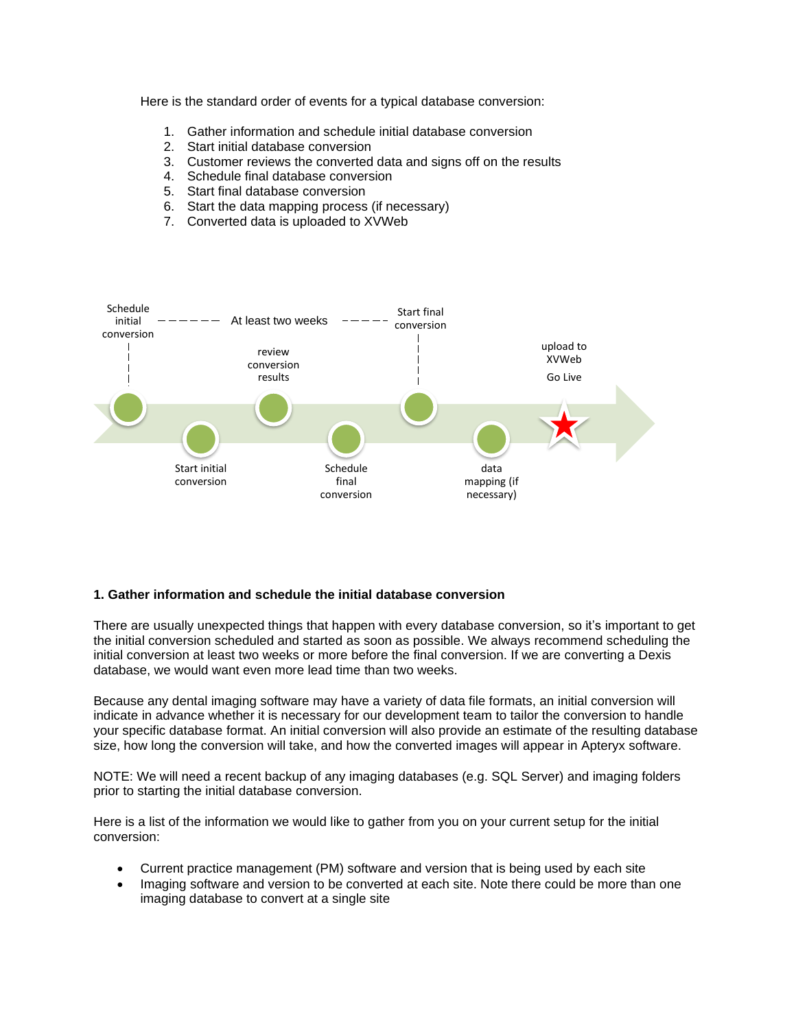Here is the standard order of events for a typical database conversion:

- 1. Gather information and schedule initial database conversion
- 2. Start initial database conversion
- 3. Customer reviews the converted data and signs off on the results
- 4. Schedule final database conversion
- 5. Start final database conversion
- 6. Start the data mapping process (if necessary)
- 7. Converted data is uploaded to XVWeb



### **1. Gather information and schedule the initial database conversion**

There are usually unexpected things that happen with every database conversion, so it's important to get the initial conversion scheduled and started as soon as possible. We always recommend scheduling the initial conversion at least two weeks or more before the final conversion. If we are converting a Dexis database, we would want even more lead time than two weeks.

Because any dental imaging software may have a variety of data file formats, an initial conversion will indicate in advance whether it is necessary for our development team to tailor the conversion to handle your specific database format. An initial conversion will also provide an estimate of the resulting database size, how long the conversion will take, and how the converted images will appear in Apteryx software.

NOTE: We will need a recent backup of any imaging databases (e.g. SQL Server) and imaging folders prior to starting the initial database conversion.

Here is a list of the information we would like to gather from you on your current setup for the initial conversion:

- Current practice management (PM) software and version that is being used by each site
- Imaging software and version to be converted at each site. Note there could be more than one imaging database to convert at a single site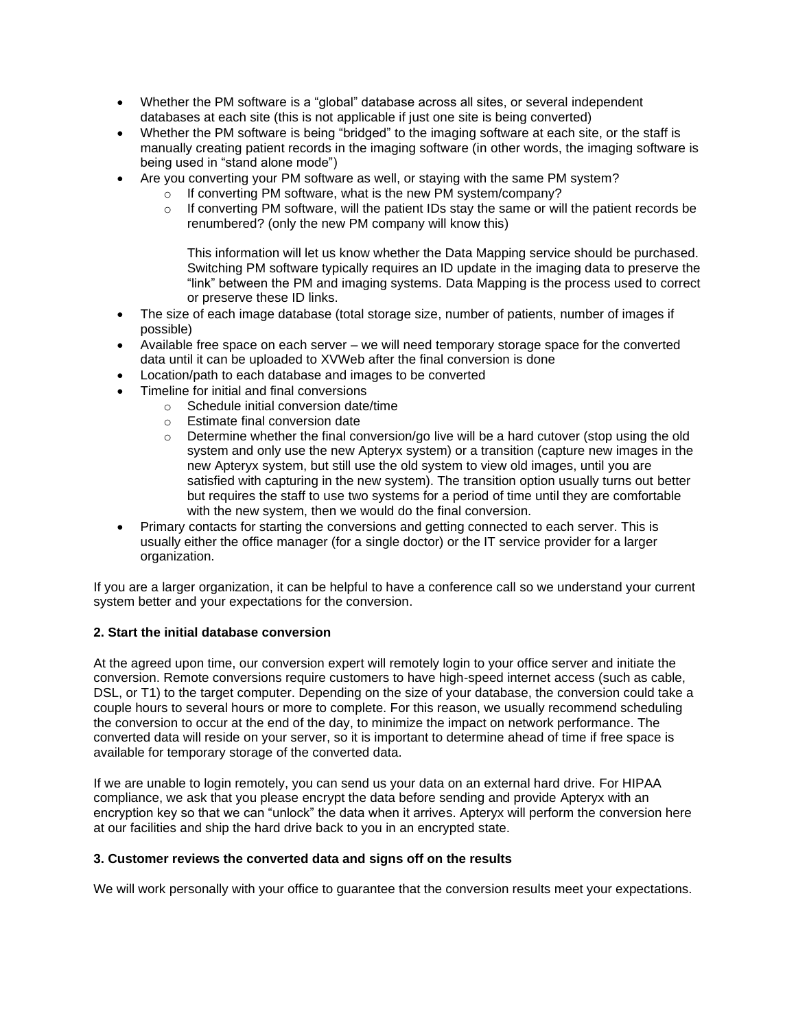- Whether the PM software is a "global" database across all sites, or several independent databases at each site (this is not applicable if just one site is being converted)
- Whether the PM software is being "bridged" to the imaging software at each site, or the staff is manually creating patient records in the imaging software (in other words, the imaging software is being used in "stand alone mode")
- Are you converting your PM software as well, or staying with the same PM system?
	- o If converting PM software, what is the new PM system/company?
	- o If converting PM software, will the patient IDs stay the same or will the patient records be renumbered? (only the new PM company will know this)

This information will let us know whether the Data Mapping service should be purchased. Switching PM software typically requires an ID update in the imaging data to preserve the "link" between the PM and imaging systems. Data Mapping is the process used to correct or preserve these ID links.

- The size of each image database (total storage size, number of patients, number of images if possible)
- Available free space on each server we will need temporary storage space for the converted data until it can be uploaded to XVWeb after the final conversion is done
- Location/path to each database and images to be converted
- Timeline for initial and final conversions
	- o Schedule initial conversion date/time
	- o Estimate final conversion date
	- $\circ$  Determine whether the final conversion/go live will be a hard cutover (stop using the old system and only use the new Apteryx system) or a transition (capture new images in the new Apteryx system, but still use the old system to view old images, until you are satisfied with capturing in the new system). The transition option usually turns out better but requires the staff to use two systems for a period of time until they are comfortable with the new system, then we would do the final conversion.
- Primary contacts for starting the conversions and getting connected to each server. This is usually either the office manager (for a single doctor) or the IT service provider for a larger organization.

If you are a larger organization, it can be helpful to have a conference call so we understand your current system better and your expectations for the conversion.

# **2. Start the initial database conversion**

At the agreed upon time, our conversion expert will remotely login to your office server and initiate the conversion. Remote conversions require customers to have high-speed internet access (such as cable, DSL, or T1) to the target computer. Depending on the size of your database, the conversion could take a couple hours to several hours or more to complete. For this reason, we usually recommend scheduling the conversion to occur at the end of the day, to minimize the impact on network performance. The converted data will reside on your server, so it is important to determine ahead of time if free space is available for temporary storage of the converted data.

If we are unable to login remotely, you can send us your data on an external hard drive. For HIPAA compliance, we ask that you please encrypt the data before sending and provide Apteryx with an encryption key so that we can "unlock" the data when it arrives. Apteryx will perform the conversion here at our facilities and ship the hard drive back to you in an encrypted state.

### **3. Customer reviews the converted data and signs off on the results**

We will work personally with your office to guarantee that the conversion results meet your expectations.